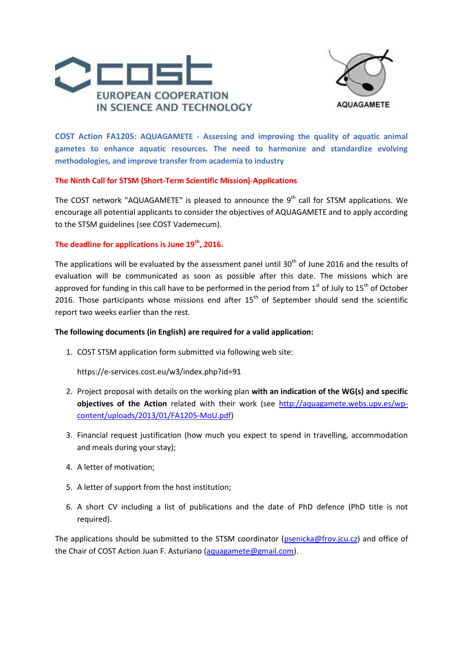



**COST Action FA1205: AQUAGAMETE - Assessing and improving the quality of aquatic animal gametes to enhance aquatic resources. The need to harmonize and standardize evolving methodologies, and improve transfer from academia to industry**

## **The Ninth Call for STSM (Short-Term Scientific Mission)-Applications**

The COST network "AQUAGAMETE" is pleased to announce the  $9^{th}$  call for STSM applications. We encourage all potential applicants to consider the objectives of AQUAGAMETE and to apply according to the STSM guidelines (see COST Vademecum).

# **The deadline for applications is June 19th , 2016.**

The applications will be evaluated by the assessment panel until 30<sup>th</sup> of June 2016 and the results of evaluation will be communicated as soon as possible after this date. The missions which are approved for funding in this call have to be performed in the period from  $1<sup>st</sup>$  of July to  $15<sup>th</sup>$  of October 2016. Those participants whose missions end after  $15<sup>th</sup>$  of September should send the scientific report two weeks earlier than the rest.

# **The following documents (in English) are required for a valid application:**

1. COST STSM application form submitted via following web site:

https://e-services.cost.eu/w3/index.php?id=91

- 2. Project proposal with details on the working plan **with an indication of the WG(s) and specific objectives of the Action** related with their work (see [http://aquagamete.webs.upv.es/wp](http://aquagamete.webs.upv.es/wp-content/uploads/2013/01/FA1205-MoU.pdf)[content/uploads/2013/01/FA1205-MoU.pdf\)](http://aquagamete.webs.upv.es/wp-content/uploads/2013/01/FA1205-MoU.pdf)
- 3. Financial request justification (how much you expect to spend in travelling, accommodation and meals during your stay);
- 4. A letter of motivation;
- 5. A letter of support from the host institution;
- 6. A short CV including a list of publications and the date of PhD defence (PhD title is not required).

The applications should be submitted to the STSM coordinator [\(psenicka@frov.jcu.cz\)](mailto:psenicka@frov.jcu.cz) and office of the Chair of COST Action Juan F. Asturiano [\(aquagamete@gmail.com\)](mailto:aquagamete@gmail.com).